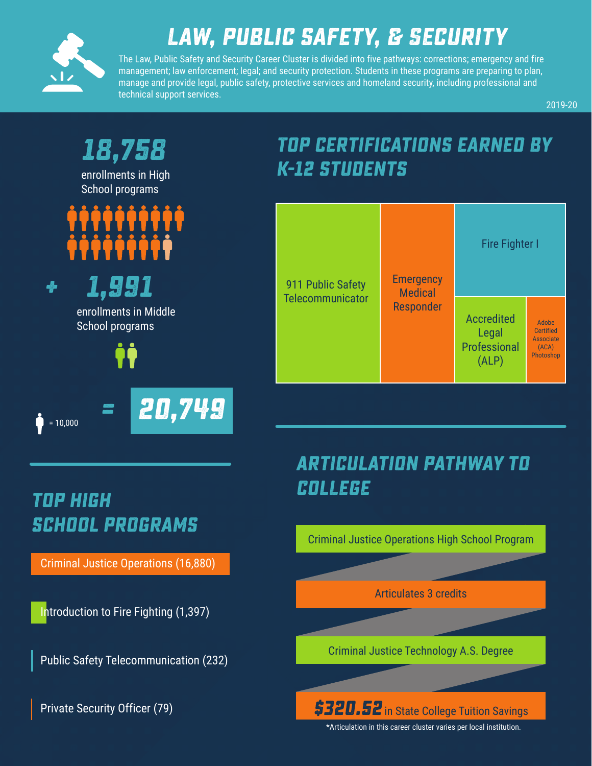

## **Law, public safety, & Security**

The Law, Public Safety and Security Career Cluster is divided into five pathways: corrections; emergency and fire management; law enforcement; legal; and security protection. Students in these programs are preparing to plan, manage and provide legal, public safety, protective services and homeland security, including professional and technical support services.

2019-20



## **college top high school programs**

Criminal Justice Operations (16,880)

Introduction to Fire Fighting (1,397)

Public Safety Telecommunication (232)

Private Security Officer (79)

# **articulation pathway to**

Criminal Justice Operations High School Program

Articulates 3 credits

Criminal Justice Technology A.S. Degree

**\$320.52** in State College Tuition Savings

\*Articulation in this career cluster varies per local institution.